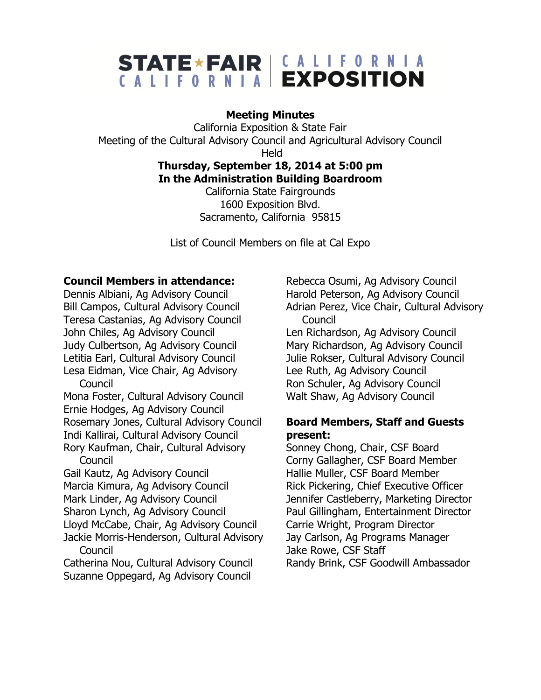# STATE \* FAIR | CALLEORNIA

#### **Meeting Minutes**

California Exposition & State Fair Meeting of the Cultural Advisory Council and Agricultural Advisory Council

Held

## **Thursday, September 18, 2014 at 5:00 pm In the Administration Building Boardroom**

California State Fairgrounds 1600 Exposition Blvd. Sacramento, California 95815

List of Council Members on file at Cal Expo

#### **Council Members in attendance:**

Dennis Albiani, Ag Advisory Council Bill Campos, Cultural Advisory Council Teresa Castanias, Ag Advisory Council John Chiles, Ag Advisory Council Judy Culbertson, Ag Advisory Council Letitia Earl, Cultural Advisory Council Lesa Eidman, Vice Chair, Ag Advisory **Council** 

Mona Foster, Cultural Advisory Council Ernie Hodges, Ag Advisory Council Rosemary Jones, Cultural Advisory Council Indi Kallirai, Cultural Advisory Council Rory Kaufman, Chair, Cultural Advisory Council

Gail Kautz, Ag Advisory Council Marcia Kimura, Ag Advisory Council Mark Linder, Ag Advisory Council Sharon Lynch, Ag Advisory Council Lloyd McCabe, Chair, Ag Advisory Council Jackie Morris-Henderson, Cultural Advisory

Council Catherina Nou, Cultural Advisory Council Suzanne Oppegard, Ag Advisory Council

Rebecca Osumi, Ag Advisory Council Harold Peterson, Ag Advisory Council Adrian Perez, Vice Chair, Cultural Advisory Council

Len Richardson, Ag Advisory Council Mary Richardson, Ag Advisory Council Julie Rokser, Cultural Advisory Council Lee Ruth, Ag Advisory Council Ron Schuler, Ag Advisory Council Walt Shaw, Ag Advisory Council

#### **Board Members, Staff and Guests present:**

Sonney Chong, Chair, CSF Board Corny Gallagher, CSF Board Member Hallie Muller, CSF Board Member Rick Pickering, Chief Executive Officer Jennifer Castleberry, Marketing Director Paul Gillingham, Entertainment Director Carrie Wright, Program Director Jay Carlson, Ag Programs Manager Jake Rowe, CSF Staff Randy Brink, CSF Goodwill Ambassador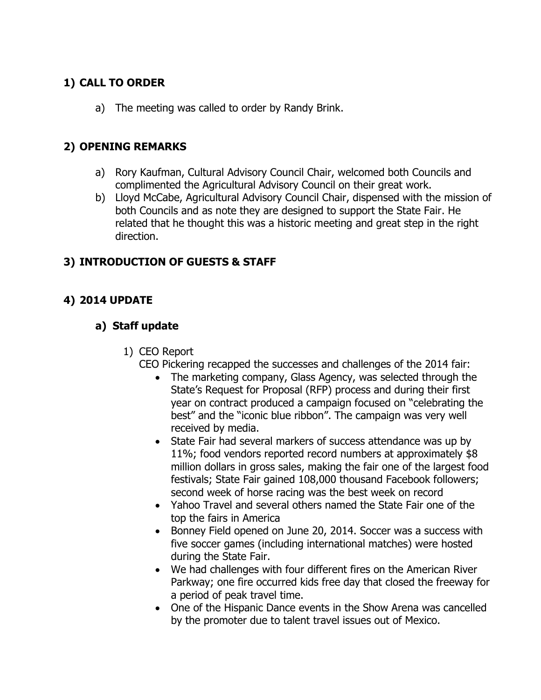## **1) CALL TO ORDER**

a) The meeting was called to order by Randy Brink.

#### **2) OPENING REMARKS**

- a) Rory Kaufman, Cultural Advisory Council Chair, welcomed both Councils and complimented the Agricultural Advisory Council on their great work.
- b) Lloyd McCabe, Agricultural Advisory Council Chair, dispensed with the mission of both Councils and as note they are designed to support the State Fair. He related that he thought this was a historic meeting and great step in the right direction.

## **3) INTRODUCTION OF GUESTS & STAFF**

# **4) 2014 UPDATE**

## **a) Staff update**

- 1) CEO Report
	- CEO Pickering recapped the successes and challenges of the 2014 fair:
		- The marketing company, Glass Agency, was selected through the State's Request for Proposal (RFP) process and during their first year on contract produced a campaign focused on "celebrating the best" and the "iconic blue ribbon". The campaign was very well received by media.
		- State Fair had several markers of success attendance was up by 11%; food vendors reported record numbers at approximately \$8 million dollars in gross sales, making the fair one of the largest food festivals; State Fair gained 108,000 thousand Facebook followers; second week of horse racing was the best week on record
		- Yahoo Travel and several others named the State Fair one of the top the fairs in America
		- Bonney Field opened on June 20, 2014. Soccer was a success with five soccer games (including international matches) were hosted during the State Fair.
		- We had challenges with four different fires on the American River Parkway; one fire occurred kids free day that closed the freeway for a period of peak travel time.
		- One of the Hispanic Dance events in the Show Arena was cancelled by the promoter due to talent travel issues out of Mexico.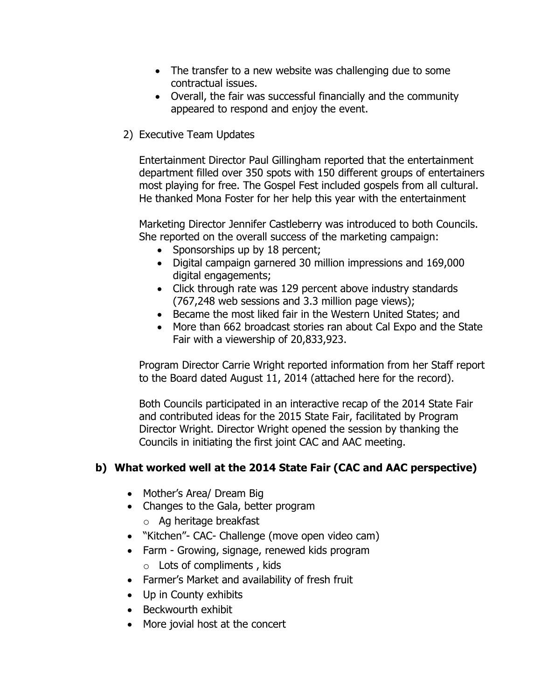- The transfer to a new website was challenging due to some contractual issues.
- Overall, the fair was successful financially and the community appeared to respond and enjoy the event.
- 2) Executive Team Updates

Entertainment Director Paul Gillingham reported that the entertainment department filled over 350 spots with 150 different groups of entertainers most playing for free. The Gospel Fest included gospels from all cultural. He thanked Mona Foster for her help this year with the entertainment

Marketing Director Jennifer Castleberry was introduced to both Councils. She reported on the overall success of the marketing campaign:

- Sponsorships up by 18 percent;
- Digital campaign garnered 30 million impressions and 169,000 digital engagements;
- Click through rate was 129 percent above industry standards (767,248 web sessions and 3.3 million page views);
- Became the most liked fair in the Western United States; and
- More than 662 broadcast stories ran about Cal Expo and the State Fair with a viewership of 20,833,923.

Program Director Carrie Wright reported information from her Staff report to the Board dated August 11, 2014 (attached here for the record).

Both Councils participated in an interactive recap of the 2014 State Fair and contributed ideas for the 2015 State Fair, facilitated by Program Director Wright. Director Wright opened the session by thanking the Councils in initiating the first joint CAC and AAC meeting.

## **b) What worked well at the 2014 State Fair (CAC and AAC perspective)**

- Mother's Area/ Dream Big
- Changes to the Gala, better program
	- o Ag heritage breakfast
- "Kitchen"- CAC- Challenge (move open video cam)
- Farm Growing, signage, renewed kids program
	- o Lots of compliments , kids
- Farmer's Market and availability of fresh fruit
- Up in County exhibits
- Beckwourth exhibit
- More jovial host at the concert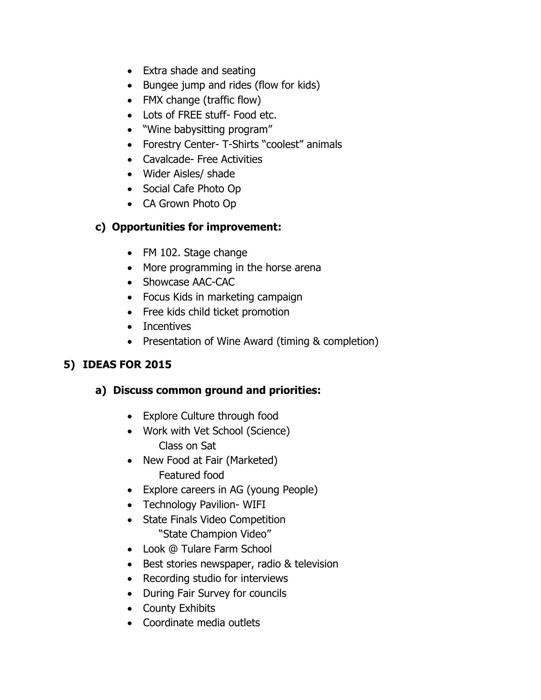- Extra shade and seating
- Bungee jump and rides (flow for kids)
- FMX change (traffic flow)
- Lots of FREE stuff- Food etc.
- "Wine babysitting program"
- Forestry Center- T-Shirts "coolest" animals
- Cavalcade- Free Activities
- Wider Aisles/ shade
- Social Cafe Photo Op
- CA Grown Photo Op

# **c) Opportunities for improvement:**

- FM 102. Stage change
- More programming in the horse arena
- Showcase AAC-CAC
- Focus Kids in marketing campaign
- Free kids child ticket promotion
- Incentives
- Presentation of Wine Award (timing & completion)

# **5) IDEAS FOR 2015**

# **a) Discuss common ground and priorities:**

- Explore Culture through food
- Work with Vet School (Science) Class on Sat
- New Food at Fair (Marketed) Featured food
- Explore careers in AG (young People)
- Technology Pavilion- WIFI
- State Finals Video Competition "State Champion Video"
- Look @ Tulare Farm School
- Best stories newspaper, radio & television
- Recording studio for interviews
- During Fair Survey for councils
- County Exhibits
- Coordinate media outlets